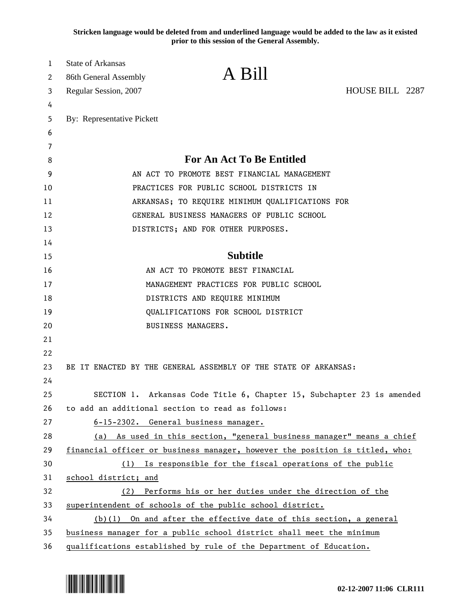**Stricken language would be deleted from and underlined language would be added to the law as it existed prior to this session of the General Assembly.**

| 1        | <b>State of Arkansas</b>   |                                                                                                                                                  |                 |  |
|----------|----------------------------|--------------------------------------------------------------------------------------------------------------------------------------------------|-----------------|--|
| 2        | 86th General Assembly      | A Bill                                                                                                                                           |                 |  |
| 3        | Regular Session, 2007      |                                                                                                                                                  | HOUSE BILL 2287 |  |
| 4        |                            |                                                                                                                                                  |                 |  |
| 5        | By: Representative Pickett |                                                                                                                                                  |                 |  |
| 6        |                            |                                                                                                                                                  |                 |  |
| 7        |                            |                                                                                                                                                  |                 |  |
| 8        |                            | <b>For An Act To Be Entitled</b>                                                                                                                 |                 |  |
| 9        |                            | AN ACT TO PROMOTE BEST FINANCIAL MANAGEMENT                                                                                                      |                 |  |
| 10       |                            | PRACTICES FOR PUBLIC SCHOOL DISTRICTS IN                                                                                                         |                 |  |
| 11       |                            | ARKANSAS; TO REQUIRE MINIMUM QUALIFICATIONS FOR                                                                                                  |                 |  |
| 12       |                            | GENERAL BUSINESS MANAGERS OF PUBLIC SCHOOL                                                                                                       |                 |  |
| 13       |                            | DISTRICTS; AND FOR OTHER PURPOSES.                                                                                                               |                 |  |
| 14       |                            |                                                                                                                                                  |                 |  |
| 15       |                            | <b>Subtitle</b>                                                                                                                                  |                 |  |
| 16       |                            | AN ACT TO PROMOTE BEST FINANCIAL                                                                                                                 |                 |  |
| 17       |                            | MANAGEMENT PRACTICES FOR PUBLIC SCHOOL                                                                                                           |                 |  |
| 18       |                            | DISTRICTS AND REQUIRE MINIMUM                                                                                                                    |                 |  |
| 19       |                            | QUALIFICATIONS FOR SCHOOL DISTRICT                                                                                                               |                 |  |
| 20       |                            | BUSINESS MANAGERS.                                                                                                                               |                 |  |
| 21       |                            |                                                                                                                                                  |                 |  |
| 22       |                            |                                                                                                                                                  |                 |  |
| 23       |                            | BE IT ENACTED BY THE GENERAL ASSEMBLY OF THE STATE OF ARKANSAS:                                                                                  |                 |  |
| 24       |                            |                                                                                                                                                  |                 |  |
| 25       |                            | SECTION 1. Arkansas Code Title 6, Chapter 15, Subchapter 23 is amended                                                                           |                 |  |
| 26<br>27 |                            | to add an additional section to read as follows:                                                                                                 |                 |  |
| 28       |                            | 6-15-2302. General business manager.                                                                                                             |                 |  |
| 29       | (a)                        | As used in this section, "general business manager" means a chief<br>financial officer or business manager, however the position is titled, who: |                 |  |
| 30       | (1)                        | Is responsible for the fiscal operations of the public                                                                                           |                 |  |
| 31       | school district; and       |                                                                                                                                                  |                 |  |
| 32       | (2)                        | Performs his or her duties under the direction of the                                                                                            |                 |  |
| 33       |                            | superintendent of schools of the public school district.                                                                                         |                 |  |
| 34       |                            | $(b)(1)$ On and after the effective date of this section, a general                                                                              |                 |  |
| 35       |                            | business manager for a public school district shall meet the minimum                                                                             |                 |  |
| 36       |                            | qualifications established by rule of the Department of Education.                                                                               |                 |  |